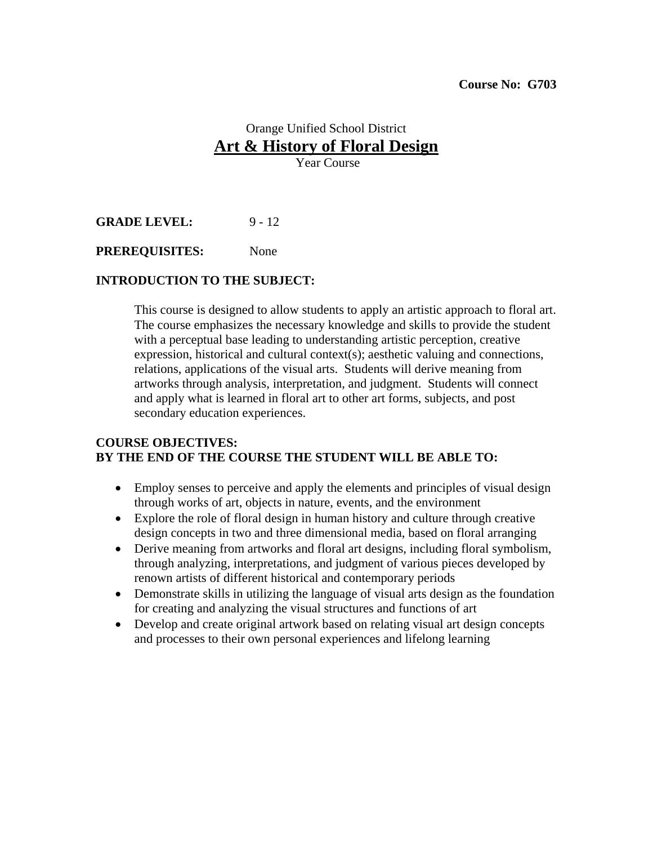# Orange Unified School District **Art & History of Floral Design**

Year Course

**GRADE LEVEL:** 9 - 12

**PREREQUISITES:** None

## **INTRODUCTION TO THE SUBJECT:**

This course is designed to allow students to apply an artistic approach to floral art. The course emphasizes the necessary knowledge and skills to provide the student with a perceptual base leading to understanding artistic perception, creative expression, historical and cultural context(s); aesthetic valuing and connections, relations, applications of the visual arts. Students will derive meaning from artworks through analysis, interpretation, and judgment. Students will connect and apply what is learned in floral art to other art forms, subjects, and post secondary education experiences.

## **COURSE OBJECTIVES: BY THE END OF THE COURSE THE STUDENT WILL BE ABLE TO:**

- Employ senses to perceive and apply the elements and principles of visual design through works of art, objects in nature, events, and the environment
- Explore the role of floral design in human history and culture through creative design concepts in two and three dimensional media, based on floral arranging
- Derive meaning from artworks and floral art designs, including floral symbolism, through analyzing, interpretations, and judgment of various pieces developed by renown artists of different historical and contemporary periods
- Demonstrate skills in utilizing the language of visual arts design as the foundation for creating and analyzing the visual structures and functions of art
- Develop and create original artwork based on relating visual art design concepts and processes to their own personal experiences and lifelong learning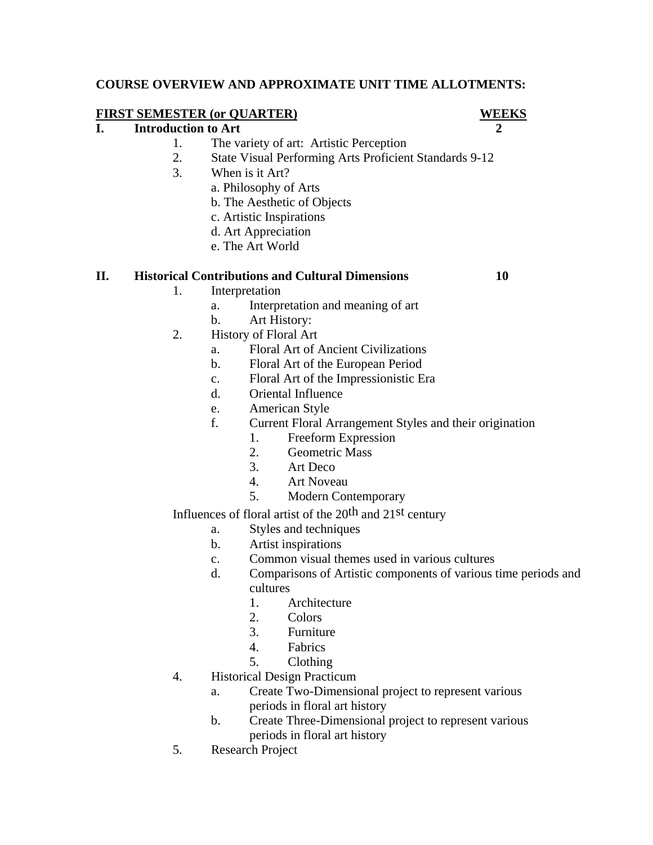## **COURSE OVERVIEW AND APPROXIMATE UNIT TIME ALLOTMENTS:**

## **FIRST SEMESTER (or QUARTER) WEEKS**

## **I.** Introduction to Art 2

- 1. The variety of art: Artistic Perception
- 2. State Visual Performing Arts Proficient Standards 9-12
- 3. When is it Art?
	- a. Philosophy of Arts
		- b. The Aesthetic of Objects
		- c. Artistic Inspirations
		- d. Art Appreciation
		- e. The Art World

## **II. Historical Contributions and Cultural Dimensions 10**

- 1. Interpretation
	- a. Interpretation and meaning of art
	- b. Art History:
- 2. History of Floral Art
	- a. Floral Art of Ancient Civilizations
	- b. Floral Art of the European Period
	- c. Floral Art of the Impressionistic Era
	- d. Oriental Influence
	- e. American Style
	- f. Current Floral Arrangement Styles and their origination
		- 1. Freeform Expression
		- 2. Geometric Mass
		- 3. Art Deco
		- 4. Art Noveau
		- 5. Modern Contemporary

Influences of floral artist of the  $20<sup>th</sup>$  and  $21<sup>st</sup>$  century

- a. Styles and techniques
- b. Artist inspirations
- c. Common visual themes used in various cultures
- d. Comparisons of Artistic components of various time periods and cultures
	- 1. Architecture
	- 2. Colors
	- 3. Furniture
	- 4. Fabrics
	- 5. Clothing
- 4. Historical Design Practicum
	- a. Create Two-Dimensional project to represent various periods in floral art history
	- b. Create Three-Dimensional project to represent various periods in floral art history
- 5. Research Project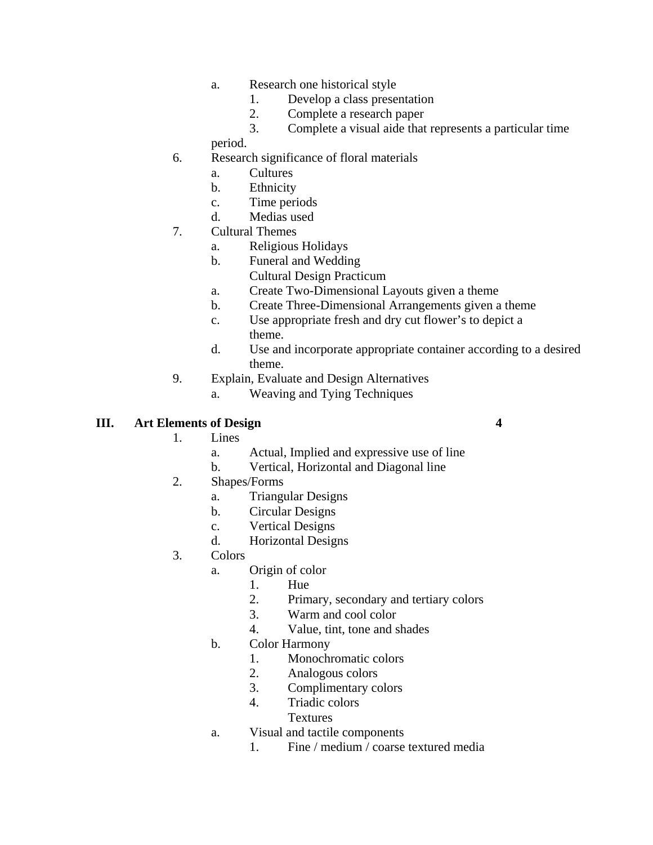- a. Research one historical style
	- 1. Develop a class presentation
	- 2. Complete a research paper
	- 3. Complete a visual aide that represents a particular time
- period.
- 6. Research significance of floral materials
	- a. Cultures
	- b. Ethnicity
	- c. Time periods
	- d. Medias used
- 7. Cultural Themes
	- a. Religious Holidays
	- b. Funeral and Wedding
		- Cultural Design Practicum
	- a. Create Two-Dimensional Layouts given a theme
	- b. Create Three-Dimensional Arrangements given a theme
	- c. Use appropriate fresh and dry cut flower's to depict a theme.
	- d. Use and incorporate appropriate container according to a desired theme.
- 9. Explain, Evaluate and Design Alternatives
	- a. Weaving and Tying Techniques

## **III. Art Elements of Design 4**

- 1. Lines
	- a. Actual, Implied and expressive use of line
	- b. Vertical, Horizontal and Diagonal line
- 2. Shapes/Forms
	- a. Triangular Designs
	- b. Circular Designs
	- c. Vertical Designs
	- d. Horizontal Designs
- 3. Colors
	- a. Origin of color
		- 1. Hue
		- 2. Primary, secondary and tertiary colors
		- 3. Warm and cool color
		- 4. Value, tint, tone and shades
	- b. Color Harmony
		- 1. Monochromatic colors
		- 2. Analogous colors
		- 3. Complimentary colors
		- 4. Triadic colors
			- Textures
	- a. Visual and tactile components
		- 1. Fine / medium / coarse textured media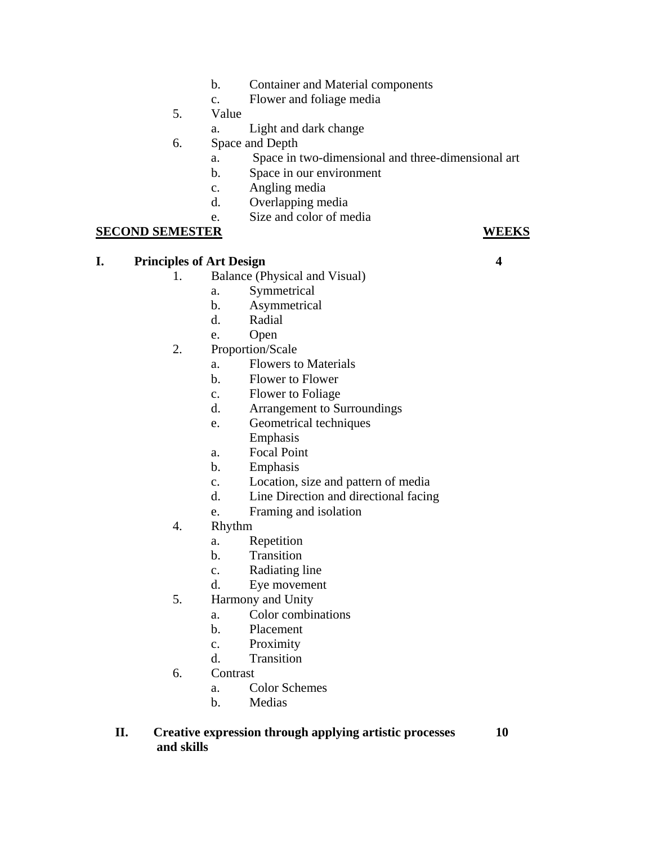- b. Container and Material components
- c. Flower and foliage media
- 5. Value
	- a. Light and dark change
- 6. Space and Depth
	- a. Space in two-dimensional and three-dimensional art
	- b. Space in our environment
	- c. Angling media
	- d. Overlapping media
	- e. Size and color of media

## **SECOND SEMESTER WEEKS**

## **I. Principles of Art Design 4**

- 1. Balance (Physical and Visual)
	- a. Symmetrical
	- b. Asymmetrical
	- d. Radial
	- e. Open
- 2. Proportion/Scale
	- a. Flowers to Materials
	- b. Flower to Flower
	- c. Flower to Foliage
	- d. Arrangement to Surroundings
	- e. Geometrical techniques
		- Emphasis
	- a. Focal Point
	- b. Emphasis
	- c. Location, size and pattern of media
	- d. Line Direction and directional facing
	- e. Framing and isolation
- 4. Rhythm
	- a. Repetition
	- b. Transition
	- c. Radiating line
	- d. Eye movement
- 5. Harmony and Unity
	- a. Color combinations
	- b. Placement
	- c. Proximity
	- d. Transition
- 6. Contrast
	- a. Color Schemes
	- b. Medias

## **II. Creative expression through applying artistic processes 10 and skills**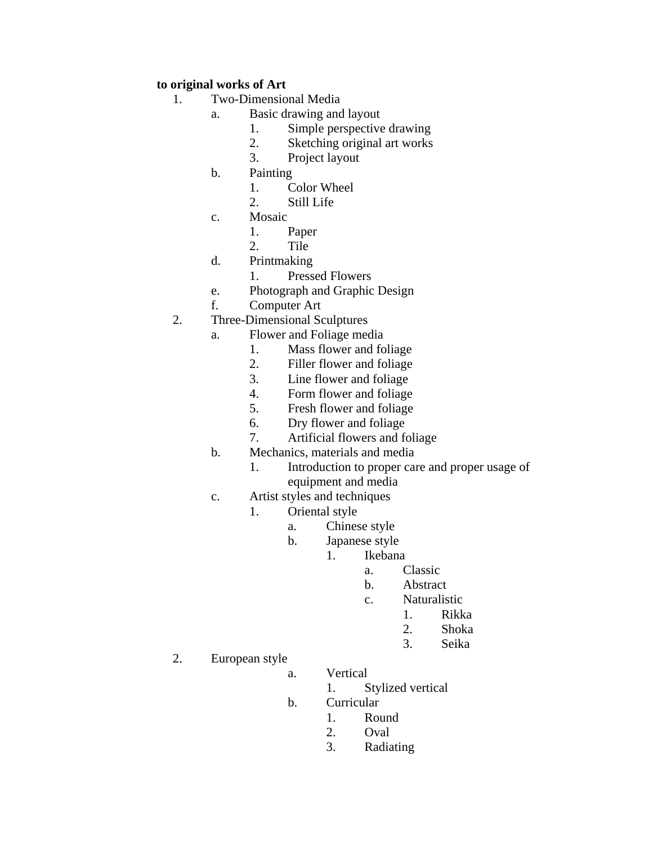## **to original works of Art**

- 1. Two-Dimensional Media
	- a. Basic drawing and layout
		- 1. Simple perspective drawing
		- 2. Sketching original art works
		- 3. Project layout
	- b. Painting
		- 1. Color Wheel
		- 2. Still Life
	- c. Mosaic
		- 1. Paper
		- 2. Tile
	- d. Printmaking
		- 1. Pressed Flowers
	- e. Photograph and Graphic Design
	- f. Computer Art
- 2. Three-Dimensional Sculptures
	- a. Flower and Foliage media
		- 1. Mass flower and foliage
		- 2. Filler flower and foliage
		- 3. Line flower and foliage
		- 4. Form flower and foliage
		- 5. Fresh flower and foliage
		- 6. Dry flower and foliage
		- 7. Artificial flowers and foliage
	- b. Mechanics, materials and media
		- 1. Introduction to proper care and proper usage of equipment and media
	- c. Artist styles and techniques
		- 1. Oriental style
			- a. Chinese style
				- b. Japanese style
					- 1. Ikebana
- a. Classic
	- b. Abstract
	- c. Naturalistic
- 1. Rikka
- 2. Shoka
- 3. Seika
	- 2. European style
		- a. Vertical
			- 1. Stylized vertical
		- b. Curricular
			- 1. Round
- 2. Oval
	- 3. Radiating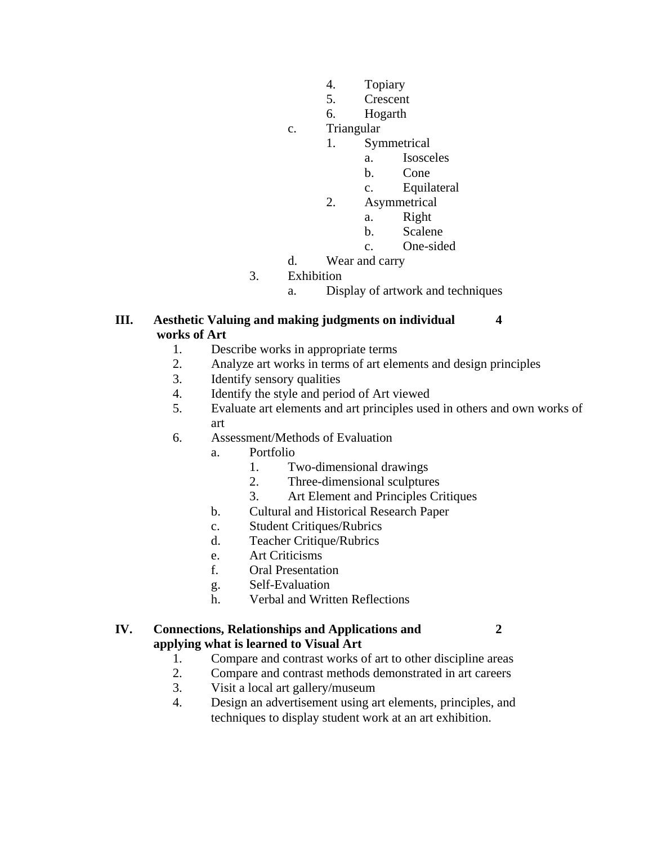- 4. Topiary
- 5. Crescent
- 6. Hogarth

## c. Triangular

- 1. Symmetrical
	- a. Isosceles
- b. Cone
	- c. Equilateral
	- 2. Asymmetrical
- a. Right
- b. Scalene
	- c. One-sided
	- d. Wear and carry
	- 3. Exhibition
		- a. Display of artwork and techniques

## **III. Aesthetic Valuing and making judgments on individual 4 works of Art**

- 1. Describe works in appropriate terms
- 2. Analyze art works in terms of art elements and design principles
- 3. Identify sensory qualities
- 4. Identify the style and period of Art viewed
- 5. Evaluate art elements and art principles used in others and own works of art
- 6. Assessment/Methods of Evaluation
	- a. Portfolio
		- 1. Two-dimensional drawings
		- 2. Three-dimensional sculptures
		- 3. Art Element and Principles Critiques
	- b. Cultural and Historical Research Paper
	- c. Student Critiques/Rubrics
	- d. Teacher Critique/Rubrics
	- e. Art Criticisms
	- f. Oral Presentation
	- g. Self-Evaluation
	- h. Verbal and Written Reflections

## **IV. Connections, Relationships and Applications and 2 applying what is learned to Visual Art**

- 1. Compare and contrast works of art to other discipline areas
- 2. Compare and contrast methods demonstrated in art careers
- 3. Visit a local art gallery/museum
- 4. Design an advertisement using art elements, principles, and techniques to display student work at an art exhibition.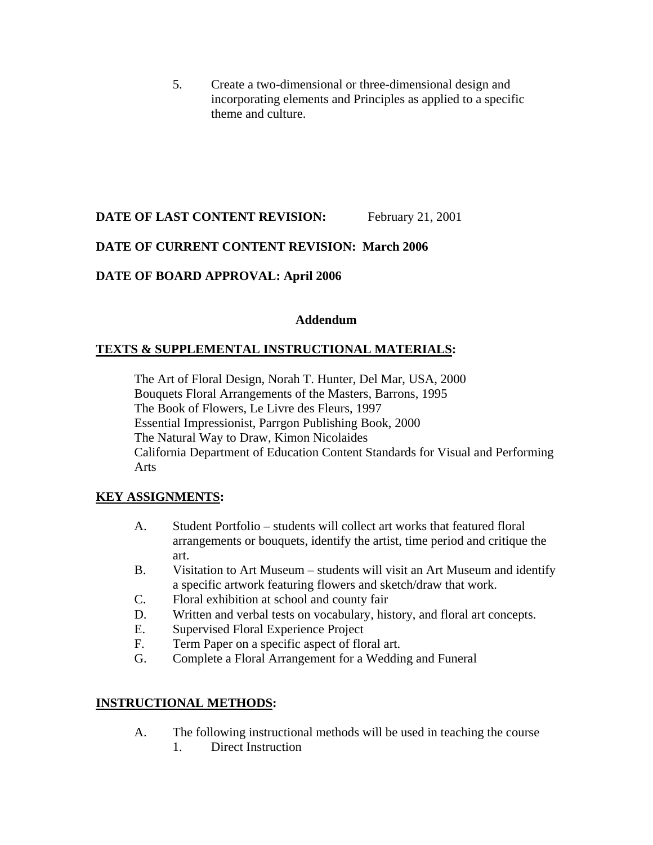5. Create a two-dimensional or three-dimensional design and incorporating elements and Principles as applied to a specific theme and culture.

## **DATE OF LAST CONTENT REVISION:** February 21, 2001

## **DATE OF CURRENT CONTENT REVISION: March 2006**

## **DATE OF BOARD APPROVAL: April 2006**

## **Addendum**

## **TEXTS & SUPPLEMENTAL INSTRUCTIONAL MATERIALS:**

The Art of Floral Design, Norah T. Hunter, Del Mar, USA, 2000 Bouquets Floral Arrangements of the Masters, Barrons, 1995 The Book of Flowers, Le Livre des Fleurs, 1997 Essential Impressionist, Parrgon Publishing Book, 2000 The Natural Way to Draw, Kimon Nicolaides California Department of Education Content Standards for Visual and Performing Arts

## **KEY ASSIGNMENTS:**

- A. Student Portfolio students will collect art works that featured floral arrangements or bouquets, identify the artist, time period and critique the art.
- B. Visitation to Art Museum students will visit an Art Museum and identify a specific artwork featuring flowers and sketch/draw that work.
- C. Floral exhibition at school and county fair
- D. Written and verbal tests on vocabulary, history, and floral art concepts.
- E. Supervised Floral Experience Project
- F. Term Paper on a specific aspect of floral art.
- G. Complete a Floral Arrangement for a Wedding and Funeral

## **INSTRUCTIONAL METHODS:**

- A. The following instructional methods will be used in teaching the course
	- 1. Direct Instruction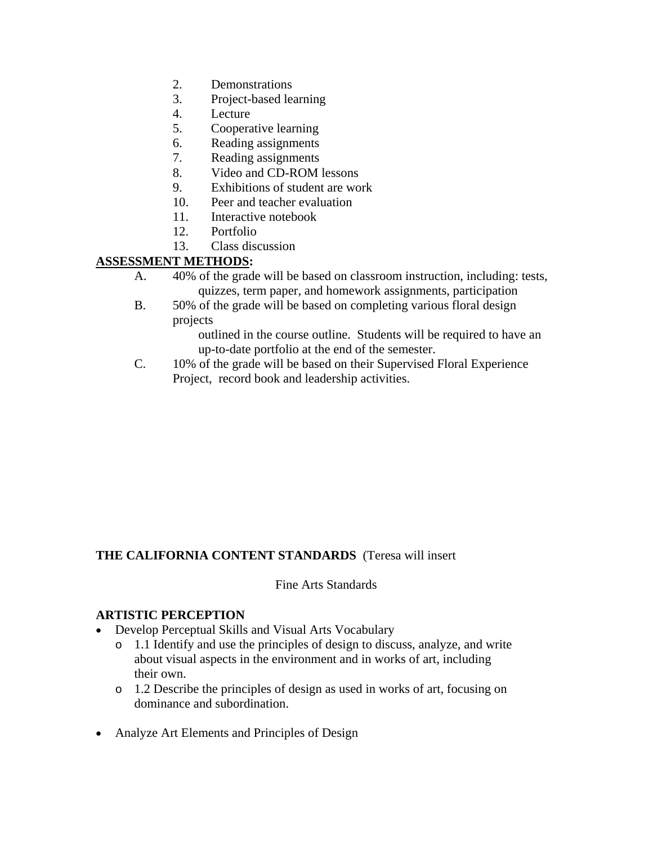- 2. Demonstrations
- 3. Project-based learning
- 4. Lecture
- 5. Cooperative learning
- 6. Reading assignments
- 7. Reading assignments
- 8. Video and CD-ROM lessons
- 9. Exhibitions of student are work
- 10. Peer and teacher evaluation
- 11. Interactive notebook
- 12. Portfolio
- 13. Class discussion

## **ASSESSMENT METHODS:**

- A. 40% of the grade will be based on classroom instruction, including: tests, quizzes, term paper, and homework assignments, participation
- B. 50% of the grade will be based on completing various floral design projects

outlined in the course outline. Students will be required to have an up-to-date portfolio at the end of the semester.

C. 10% of the grade will be based on their Supervised Floral Experience Project, record book and leadership activities.

## **THE CALIFORNIA CONTENT STANDARDS** (Teresa will insert

#### Fine Arts Standards

#### **ARTISTIC PERCEPTION**

- Develop Perceptual Skills and Visual Arts Vocabulary
	- o 1.1 Identify and use the principles of design to discuss, analyze, and write about visual aspects in the environment and in works of art, including their own.
	- o 1.2 Describe the principles of design as used in works of art, focusing on dominance and subordination.
- Analyze Art Elements and Principles of Design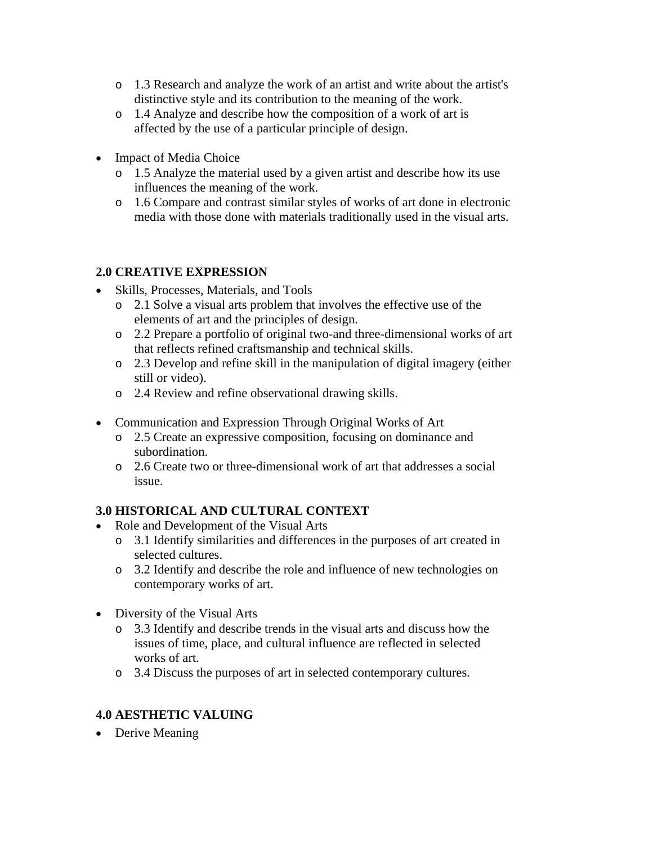- o 1.3 Research and analyze the work of an artist and write about the artist's distinctive style and its contribution to the meaning of the work.
- o 1.4 Analyze and describe how the composition of a work of art is affected by the use of a particular principle of design.
- Impact of Media Choice
	- o 1.5 Analyze the material used by a given artist and describe how its use influences the meaning of the work.
	- o 1.6 Compare and contrast similar styles of works of art done in electronic media with those done with materials traditionally used in the visual arts.

## **2.0 CREATIVE EXPRESSION**

- Skills, Processes, Materials, and Tools
	- o 2.1 Solve a visual arts problem that involves the effective use of the elements of art and the principles of design.
	- o 2.2 Prepare a portfolio of original two-and three-dimensional works of art that reflects refined craftsmanship and technical skills.
	- o 2.3 Develop and refine skill in the manipulation of digital imagery (either still or video).
	- o 2.4 Review and refine observational drawing skills.
- Communication and Expression Through Original Works of Art
	- o 2.5 Create an expressive composition, focusing on dominance and subordination.
	- o 2.6 Create two or three-dimensional work of art that addresses a social issue.

## **3.0 HISTORICAL AND CULTURAL CONTEXT**

- Role and Development of the Visual Arts
	- o 3.1 Identify similarities and differences in the purposes of art created in selected cultures.
	- o 3.2 Identify and describe the role and influence of new technologies on contemporary works of art.
- Diversity of the Visual Arts
	- o 3.3 Identify and describe trends in the visual arts and discuss how the issues of time, place, and cultural influence are reflected in selected works of art.
	- o 3.4 Discuss the purposes of art in selected contemporary cultures.

## **4.0 AESTHETIC VALUING**

• Derive Meaning